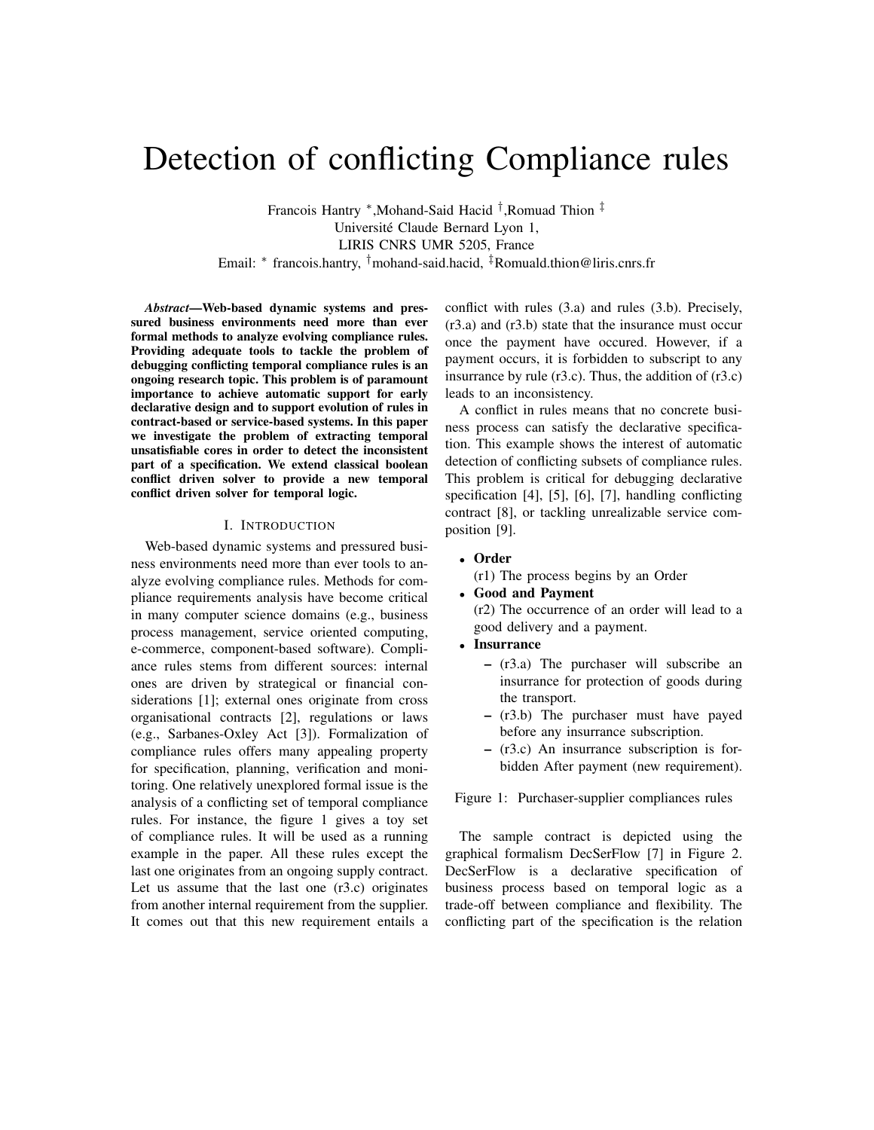# Detection of conflicting Compliance rules

Francois Hantry <sup>∗</sup> ,Mohand-Said Hacid † ,Romuad Thion ‡ Universite Claude Bernard Lyon 1, ´ LIRIS CNRS UMR 5205, France Email: <sup>∗</sup> francois.hantry, †mohand-said.hacid, ‡Romuald.thion@liris.cnrs.fr

*Abstract*—Web-based dynamic systems and pressured business environments need more than ever formal methods to analyze evolving compliance rules. Providing adequate tools to tackle the problem of debugging conflicting temporal compliance rules is an ongoing research topic. This problem is of paramount importance to achieve automatic support for early declarative design and to support evolution of rules in contract-based or service-based systems. In this paper we investigate the problem of extracting temporal unsatisfiable cores in order to detect the inconsistent part of a specification. We extend classical boolean conflict driven solver to provide a new temporal conflict driven solver for temporal logic.

#### I. INTRODUCTION

Web-based dynamic systems and pressured business environments need more than ever tools to analyze evolving compliance rules. Methods for compliance requirements analysis have become critical in many computer science domains (e.g., business process management, service oriented computing, e-commerce, component-based software). Compliance rules stems from different sources: internal ones are driven by strategical or financial considerations [1]; external ones originate from cross organisational contracts [2], regulations or laws (e.g., Sarbanes-Oxley Act [3]). Formalization of compliance rules offers many appealing property for specification, planning, verification and monitoring. One relatively unexplored formal issue is the analysis of a conflicting set of temporal compliance rules. For instance, the figure 1 gives a toy set of compliance rules. It will be used as a running example in the paper. All these rules except the last one originates from an ongoing supply contract. Let us assume that the last one  $(r3.c)$  originates from another internal requirement from the supplier. It comes out that this new requirement entails a

conflict with rules (3.a) and rules (3.b). Precisely, (r3.a) and (r3.b) state that the insurance must occur once the payment have occured. However, if a payment occurs, it is forbidden to subscript to any insurrance by rule  $(r3.c)$ . Thus, the addition of  $(r3.c)$ leads to an inconsistency.

A conflict in rules means that no concrete business process can satisfy the declarative specification. This example shows the interest of automatic detection of conflicting subsets of compliance rules. This problem is critical for debugging declarative specification [4], [5], [6], [7], handling conflicting contract [8], or tackling unrealizable service composition [9].

• Order

(r1) The process begins by an Order

• Good and Payment

(r2) The occurrence of an order will lead to a good delivery and a payment.

- Insurrance
	- (r3.a) The purchaser will subscribe an insurrance for protection of goods during the transport.
	- (r3.b) The purchaser must have payed before any insurrance subscription.
	- (r3.c) An insurrance subscription is forbidden After payment (new requirement).

Figure 1: Purchaser-supplier compliances rules

The sample contract is depicted using the graphical formalism DecSerFlow [7] in Figure 2. DecSerFlow is a declarative specification of business process based on temporal logic as a trade-off between compliance and flexibility. The conflicting part of the specification is the relation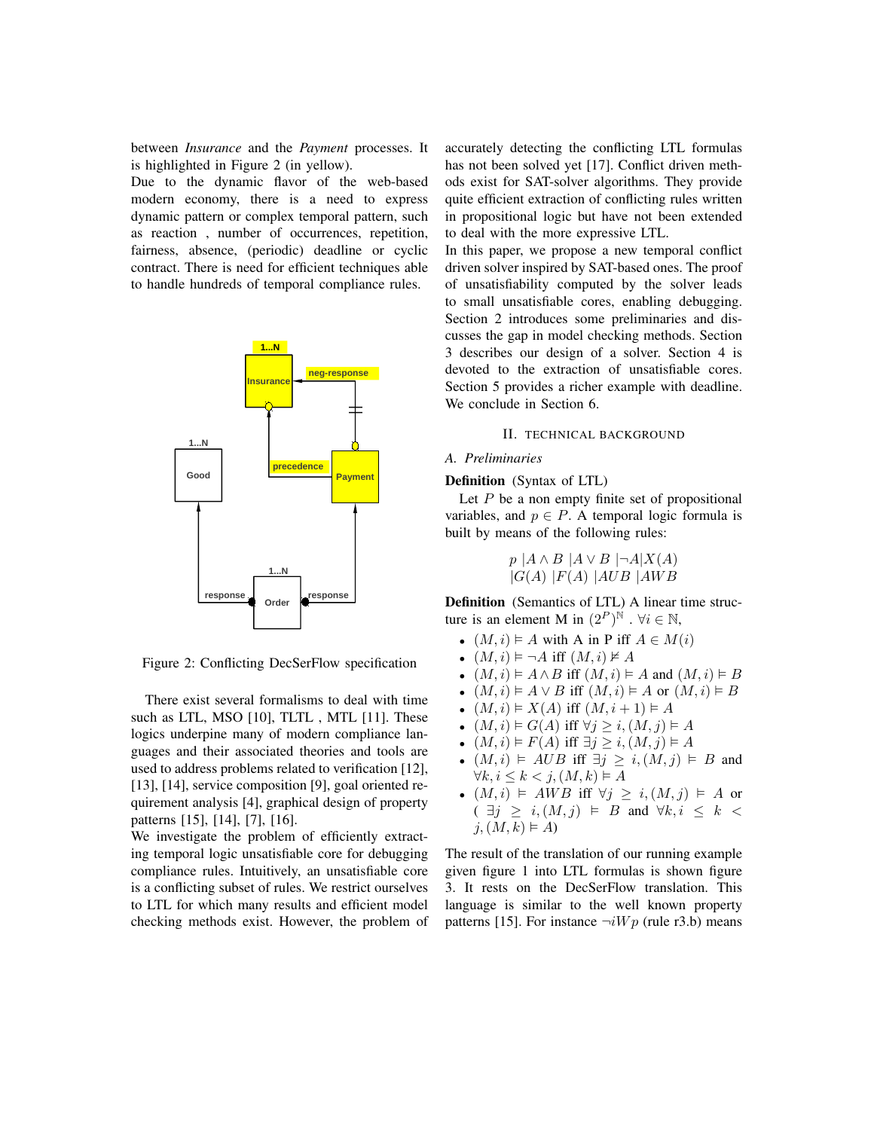between *Insurance* and the *Payment* processes. It is highlighted in Figure 2 (in yellow).

Due to the dynamic flavor of the web-based modern economy, there is a need to express dynamic pattern or complex temporal pattern, such as reaction , number of occurrences, repetition, fairness, absence, (periodic) deadline or cyclic contract. There is need for efficient techniques able to handle hundreds of temporal compliance rules.



Figure 2: Conflicting DecSerFlow specification

There exist several formalisms to deal with time such as LTL, MSO [10], TLTL , MTL [11]. These logics underpine many of modern compliance languages and their associated theories and tools are used to address problems related to verification [12], [13], [14], service composition [9], goal oriented requirement analysis [4], graphical design of property patterns [15], [14], [7], [16].

We investigate the problem of efficiently extracting temporal logic unsatisfiable core for debugging compliance rules. Intuitively, an unsatisfiable core is a conflicting subset of rules. We restrict ourselves to LTL for which many results and efficient model checking methods exist. However, the problem of accurately detecting the conflicting LTL formulas has not been solved yet [17]. Conflict driven methods exist for SAT-solver algorithms. They provide quite efficient extraction of conflicting rules written in propositional logic but have not been extended to deal with the more expressive LTL.

In this paper, we propose a new temporal conflict driven solver inspired by SAT-based ones. The proof of unsatisfiability computed by the solver leads to small unsatisfiable cores, enabling debugging. Section 2 introduces some preliminaries and discusses the gap in model checking methods. Section 3 describes our design of a solver. Section 4 is devoted to the extraction of unsatisfiable cores. Section 5 provides a richer example with deadline. We conclude in Section 6.

#### II. TECHNICAL BACKGROUND

### *A. Preliminaries*

#### Definition (Syntax of LTL)

Let  $P$  be a non empty finite set of propositional variables, and  $p \in P$ . A temporal logic formula is built by means of the following rules:

$$
p | A \land B | A \lor B | \neg A | X(A)
$$
  

$$
|G(A) |F(A) | AUB | AWB
$$

Definition (Semantics of LTL) A linear time structure is an element M in  $(2^P)^{\tilde{N}}$  .  $\forall i \in \mathbb{N}$ ,

- $(M, i) \models A$  with A in P iff  $A \in M(i)$
- $(M, i) \models \neg A$  iff  $(M, i) \not\models A$
- $(M, i) \models A \land B$  iff  $(M, i) \models A$  and  $(M, i) \models B$
- $(M, i) \models A \vee B$  iff  $(M, i) \models A$  or  $(M, i) \models B$
- $(M, i) \models X(A)$  iff  $(M, i + 1) \models A$
- $(M, i) \models G(A)$  iff  $\forall j \geq i, (M, j) \models A$
- $(M, i) \models F(A)$  iff  $\exists j \geq i, (M, j) \models A$
- $(M, i) \models AUB$  iff  $\exists j \geq i, (M, j) \models B$  and  $\forall k, i \leq k < j, (M, k) \vDash A$
- $(M, i) \models AWB \text{ iff } \forall j \geq i, (M, j) \models A \text{ or }$  $( \exists j \geq i, (M, j) \models B \text{ and } \forall k, i \leq k$  $j,(M,k) \vDash A$

The result of the translation of our running example given figure 1 into LTL formulas is shown figure 3. It rests on the DecSerFlow translation. This language is similar to the well known property patterns [15]. For instance  $\neg iWp$  (rule r3.b) means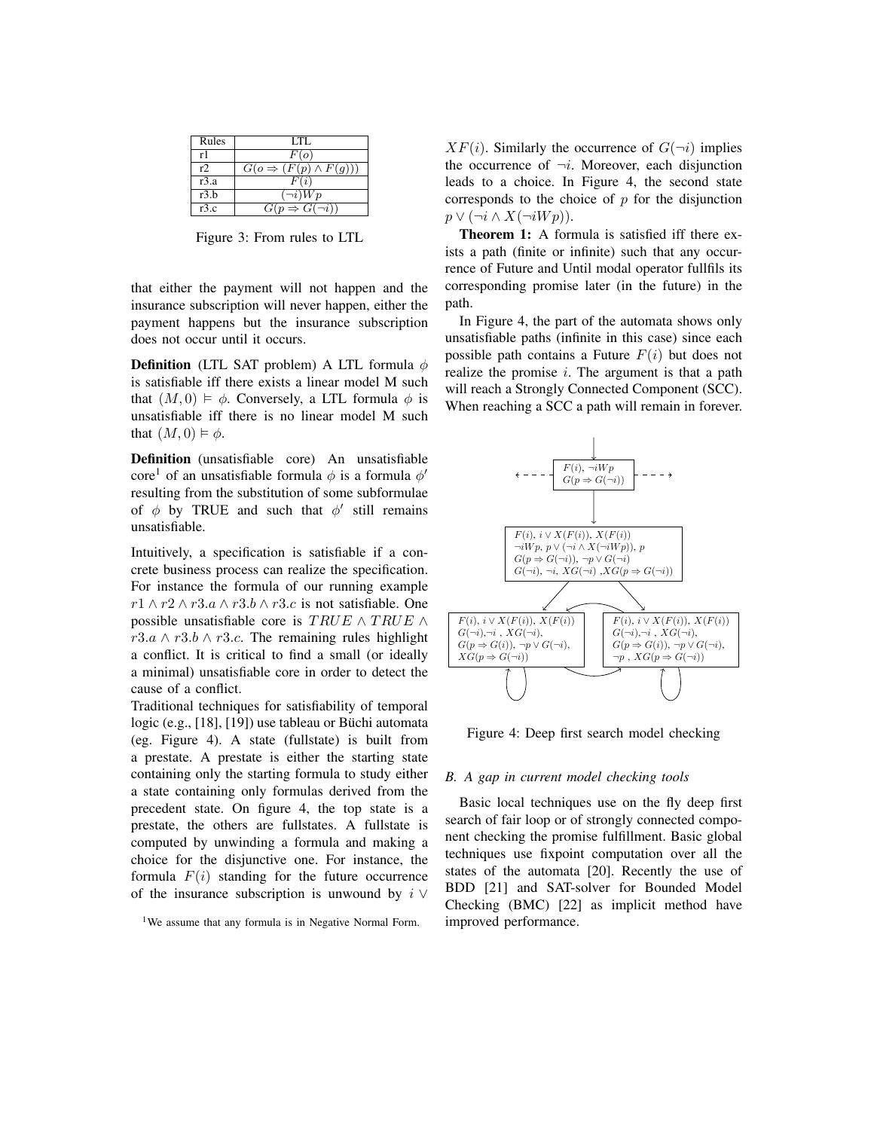| Rules | LTL.                                  |
|-------|---------------------------------------|
| r1    | F(o)                                  |
| r     | $G(o \Rightarrow (F(p) \wedge F(g)))$ |
| r3.a  | F(i)                                  |
| r3.b  | $\overline{\neg i}$ ) $\overline{W}p$ |
| r3.c  | $G(p \Rightarrow G(\neg i))$          |

Figure 3: From rules to LTL

that either the payment will not happen and the insurance subscription will never happen, either the payment happens but the insurance subscription does not occur until it occurs.

**Definition** (LTL SAT problem) A LTL formula  $\phi$ is satisfiable iff there exists a linear model M such that  $(M, 0) \models \phi$ . Conversely, a LTL formula  $\phi$  is unsatisfiable iff there is no linear model M such that  $(M, 0) \models \phi$ .

Definition (unsatisfiable core) An unsatisfiable core<sup>1</sup> of an unsatisfiable formula  $\phi$  is a formula  $\phi'$ resulting from the substitution of some subformulae of  $\phi$  by TRUE and such that  $\phi'$  still remains unsatisfiable.

Intuitively, a specification is satisfiable if a concrete business process can realize the specification. For instance the formula of our running example  $r1 \wedge r2 \wedge r3.a \wedge r3.b \wedge r3.c$  is not satisfiable. One possible unsatisfiable core is  $TRUE \wedge TRUE \wedge$  $r3.a \wedge r3.b \wedge r3.c.$  The remaining rules highlight a conflict. It is critical to find a small (or ideally a minimal) unsatisfiable core in order to detect the cause of a conflict.

Traditional techniques for satisfiability of temporal logic (e.g., [18], [19]) use tableau or Büchi automata (eg. Figure 4). A state (fullstate) is built from a prestate. A prestate is either the starting state containing only the starting formula to study either a state containing only formulas derived from the precedent state. On figure 4, the top state is a prestate, the others are fullstates. A fullstate is computed by unwinding a formula and making a choice for the disjunctive one. For instance, the formula  $F(i)$  standing for the future occurrence of the insurance subscription is unwound by  $i \vee$ 

 $XF(i)$ . Similarly the occurrence of  $G(\neg i)$  implies the occurrence of  $\neg i$ . Moreover, each disjunction leads to a choice. In Figure 4, the second state corresponds to the choice of  $p$  for the disjunction  $p \vee (\neg i \wedge X(\neg i W p)).$ 

Theorem 1: A formula is satisfied iff there exists a path (finite or infinite) such that any occurrence of Future and Until modal operator fullfils its corresponding promise later (in the future) in the path.

In Figure 4, the part of the automata shows only unsatisfiable paths (infinite in this case) since each possible path contains a Future  $F(i)$  but does not realize the promise  $i$ . The argument is that a path will reach a Strongly Connected Component (SCC). When reaching a SCC a path will remain in forever.



Figure 4: Deep first search model checking

#### *B. A gap in current model checking tools*

Basic local techniques use on the fly deep first search of fair loop or of strongly connected component checking the promise fulfillment. Basic global techniques use fixpoint computation over all the states of the automata [20]. Recently the use of BDD [21] and SAT-solver for Bounded Model Checking (BMC) [22] as implicit method have improved performance.

<sup>&</sup>lt;sup>1</sup>We assume that any formula is in Negative Normal Form.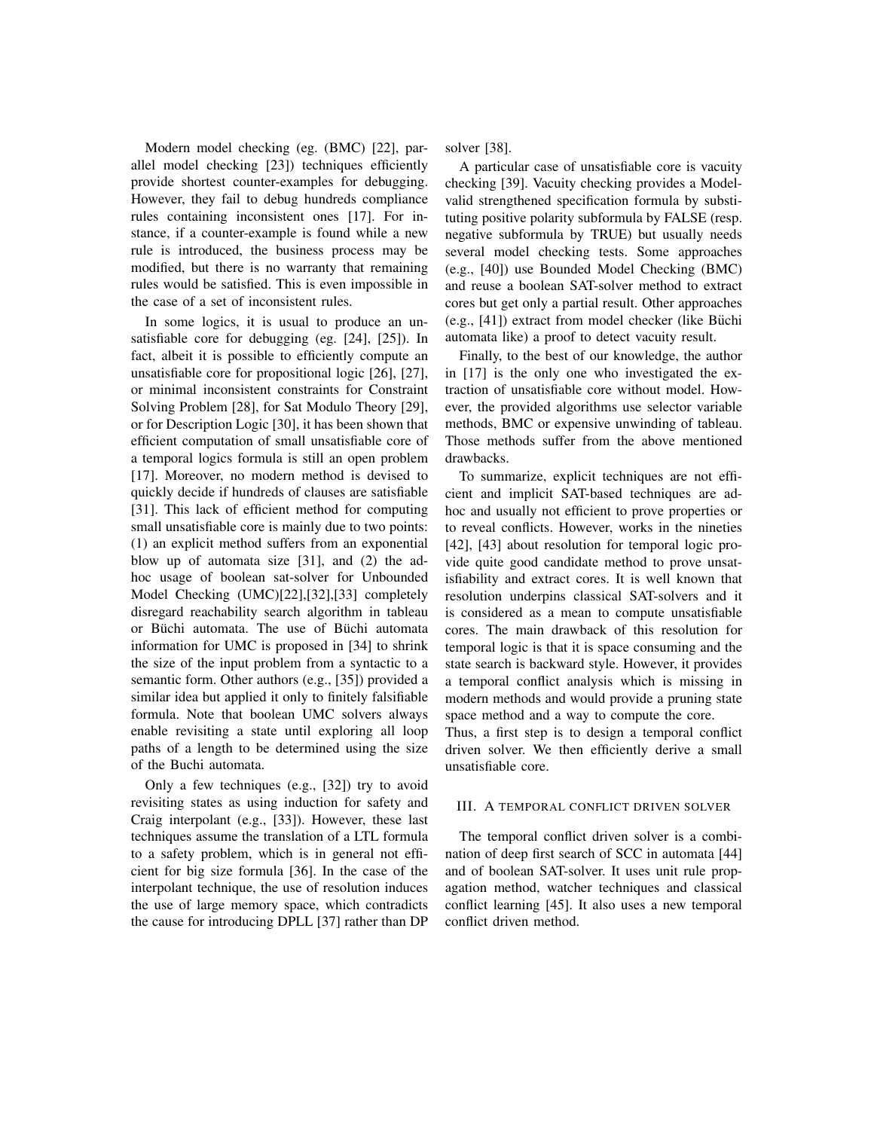Modern model checking (eg. (BMC) [22], parallel model checking [23]) techniques efficiently provide shortest counter-examples for debugging. However, they fail to debug hundreds compliance rules containing inconsistent ones [17]. For instance, if a counter-example is found while a new rule is introduced, the business process may be modified, but there is no warranty that remaining rules would be satisfied. This is even impossible in the case of a set of inconsistent rules.

In some logics, it is usual to produce an unsatisfiable core for debugging (eg. [24], [25]). In fact, albeit it is possible to efficiently compute an unsatisfiable core for propositional logic [26], [27], or minimal inconsistent constraints for Constraint Solving Problem [28], for Sat Modulo Theory [29], or for Description Logic [30], it has been shown that efficient computation of small unsatisfiable core of a temporal logics formula is still an open problem [17]. Moreover, no modern method is devised to quickly decide if hundreds of clauses are satisfiable [31]. This lack of efficient method for computing small unsatisfiable core is mainly due to two points: (1) an explicit method suffers from an exponential blow up of automata size [31], and (2) the adhoc usage of boolean sat-solver for Unbounded Model Checking (UMC)[22],[32],[33] completely disregard reachability search algorithm in tableau or Büchi automata. The use of Büchi automata information for UMC is proposed in [34] to shrink the size of the input problem from a syntactic to a semantic form. Other authors (e.g., [35]) provided a similar idea but applied it only to finitely falsifiable formula. Note that boolean UMC solvers always enable revisiting a state until exploring all loop paths of a length to be determined using the size of the Buchi automata.

Only a few techniques (e.g., [32]) try to avoid revisiting states as using induction for safety and Craig interpolant (e.g., [33]). However, these last techniques assume the translation of a LTL formula to a safety problem, which is in general not efficient for big size formula [36]. In the case of the interpolant technique, the use of resolution induces the use of large memory space, which contradicts the cause for introducing DPLL [37] rather than DP solver [38].

A particular case of unsatisfiable core is vacuity checking [39]. Vacuity checking provides a Modelvalid strengthened specification formula by substituting positive polarity subformula by FALSE (resp. negative subformula by TRUE) but usually needs several model checking tests. Some approaches (e.g., [40]) use Bounded Model Checking (BMC) and reuse a boolean SAT-solver method to extract cores but get only a partial result. Other approaches  $(e.g., [41])$  extract from model checker (like Büchi automata like) a proof to detect vacuity result.

Finally, to the best of our knowledge, the author in [17] is the only one who investigated the extraction of unsatisfiable core without model. However, the provided algorithms use selector variable methods, BMC or expensive unwinding of tableau. Those methods suffer from the above mentioned drawbacks.

To summarize, explicit techniques are not efficient and implicit SAT-based techniques are adhoc and usually not efficient to prove properties or to reveal conflicts. However, works in the nineties [42], [43] about resolution for temporal logic provide quite good candidate method to prove unsatisfiability and extract cores. It is well known that resolution underpins classical SAT-solvers and it is considered as a mean to compute unsatisfiable cores. The main drawback of this resolution for temporal logic is that it is space consuming and the state search is backward style. However, it provides a temporal conflict analysis which is missing in modern methods and would provide a pruning state space method and a way to compute the core.

Thus, a first step is to design a temporal conflict driven solver. We then efficiently derive a small unsatisfiable core.

#### III. A TEMPORAL CONFLICT DRIVEN SOLVER

The temporal conflict driven solver is a combination of deep first search of SCC in automata [44] and of boolean SAT-solver. It uses unit rule propagation method, watcher techniques and classical conflict learning [45]. It also uses a new temporal conflict driven method.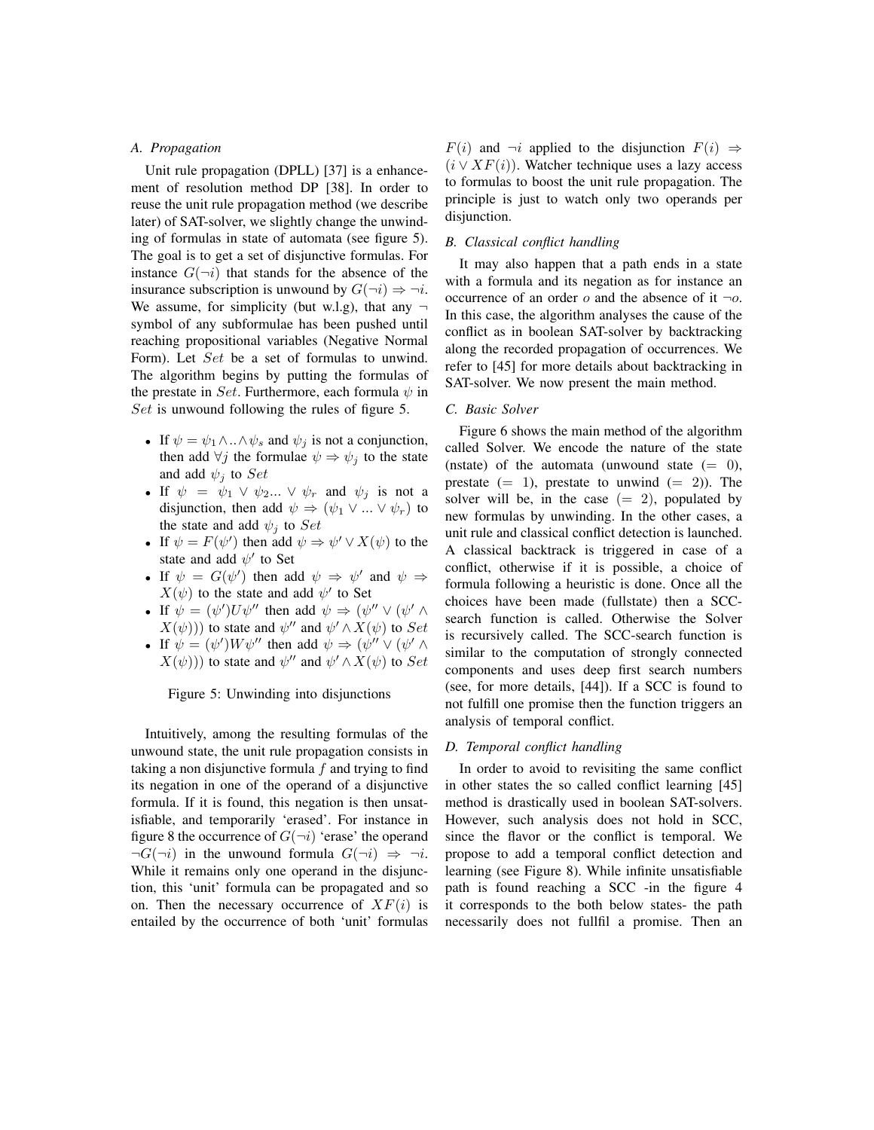#### *A. Propagation*

Unit rule propagation (DPLL) [37] is a enhancement of resolution method DP [38]. In order to reuse the unit rule propagation method (we describe later) of SAT-solver, we slightly change the unwinding of formulas in state of automata (see figure 5). The goal is to get a set of disjunctive formulas. For instance  $G(\neg i)$  that stands for the absence of the insurance subscription is unwound by  $G(\neg i) \Rightarrow \neg i$ . We assume, for simplicity (but w.l.g), that any  $\neg$ symbol of any subformulae has been pushed until reaching propositional variables (Negative Normal Form). Let Set be a set of formulas to unwind. The algorithm begins by putting the formulas of the prestate in Set. Furthermore, each formula  $\psi$  in Set is unwound following the rules of figure 5.

- If  $\psi = \psi_1 \wedge \ldots \wedge \psi_s$  and  $\psi_j$  is not a conjunction, then add  $\forall j$  the formulae  $\psi \Rightarrow \psi_j$  to the state and add  $\psi_i$  to  $Set$
- If  $\psi = \psi_1 \vee \psi_2 ... \vee \psi_r$  and  $\psi_j$  is not a disjunction, then add  $\psi \Rightarrow (\psi_1 \vee ... \vee \psi_r)$  to the state and add  $\psi_i$  to Set
- If  $\psi = F(\psi')$  then add  $\psi \Rightarrow \psi' \vee X(\psi)$  to the state and add  $\psi'$  to Set
- If  $\psi = G(\psi')$  then add  $\psi \Rightarrow \psi'$  and  $\psi \Rightarrow$  $X(\psi)$  to the state and add  $\psi'$  to Set
- If  $\psi = (\psi') U \psi''$  then add  $\psi \Rightarrow (\psi'' \vee (\psi' \wedge$  $X(\psi)$ ) to state and  $\psi''$  and  $\psi' \wedge X(\psi)$  to  $Set$
- If  $\psi = (\psi')W\psi''$  then add  $\psi \Rightarrow (\psi'' \vee (\psi' \wedge$  $X(\psi)$ ) to state and  $\psi''$  and  $\psi' \wedge X(\psi)$  to  $Set$

Figure 5: Unwinding into disjunctions

Intuitively, among the resulting formulas of the unwound state, the unit rule propagation consists in taking a non disjunctive formula  $f$  and trying to find its negation in one of the operand of a disjunctive formula. If it is found, this negation is then unsatisfiable, and temporarily 'erased'. For instance in figure 8 the occurrence of  $G(\neg i)$  'erase' the operand  $\neg G(\neg i)$  in the unwound formula  $G(\neg i) \Rightarrow \neg i$ . While it remains only one operand in the disjunction, this 'unit' formula can be propagated and so on. Then the necessary occurrence of  $XF(i)$  is entailed by the occurrence of both 'unit' formulas

 $F(i)$  and  $\neg i$  applied to the disjunction  $F(i) \Rightarrow$  $(i \vee \overline{XF}(i))$ . Watcher technique uses a lazy access to formulas to boost the unit rule propagation. The principle is just to watch only two operands per disjunction.

#### *B. Classical conflict handling*

It may also happen that a path ends in a state with a formula and its negation as for instance an occurrence of an order  $o$  and the absence of it  $\neg o$ . In this case, the algorithm analyses the cause of the conflict as in boolean SAT-solver by backtracking along the recorded propagation of occurrences. We refer to [45] for more details about backtracking in SAT-solver. We now present the main method.

#### *C. Basic Solver*

Figure 6 shows the main method of the algorithm called Solver. We encode the nature of the state (nstate) of the automata (unwound state  $(= 0)$ , prestate  $(= 1)$ , prestate to unwind  $(= 2)$ ). The solver will be, in the case  $(= 2)$ , populated by new formulas by unwinding. In the other cases, a unit rule and classical conflict detection is launched. A classical backtrack is triggered in case of a conflict, otherwise if it is possible, a choice of formula following a heuristic is done. Once all the choices have been made (fullstate) then a SCCsearch function is called. Otherwise the Solver is recursively called. The SCC-search function is similar to the computation of strongly connected components and uses deep first search numbers (see, for more details, [44]). If a SCC is found to not fulfill one promise then the function triggers an analysis of temporal conflict.

#### *D. Temporal conflict handling*

In order to avoid to revisiting the same conflict in other states the so called conflict learning [45] method is drastically used in boolean SAT-solvers. However, such analysis does not hold in SCC, since the flavor or the conflict is temporal. We propose to add a temporal conflict detection and learning (see Figure 8). While infinite unsatisfiable path is found reaching a SCC -in the figure 4 it corresponds to the both below states- the path necessarily does not fullfil a promise. Then an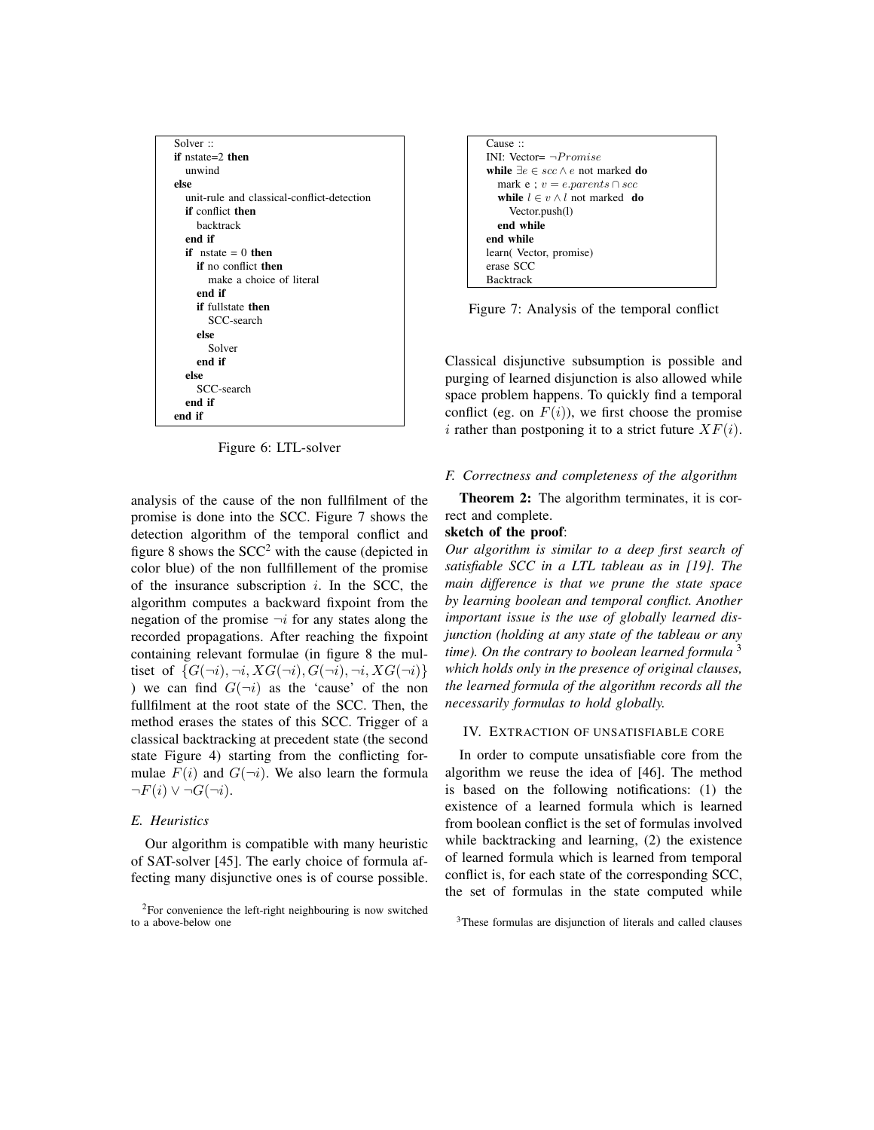| Solver ::                                  |
|--------------------------------------------|
| if $nstate=2$ then                         |
| unwind                                     |
| else                                       |
| unit-rule and classical-conflict-detection |
| <b>if</b> conflict then                    |
| backtrack                                  |
| end if                                     |
| if $nstate = 0$ then                       |
| if no conflict then                        |
| make a choice of literal                   |
| end if                                     |
| <b>if</b> fullstate then                   |
| SCC-search                                 |
| else                                       |
| Solver                                     |
| end if                                     |
| else                                       |
| SCC-search                                 |
| end if                                     |
| end if                                     |

Figure 6: LTL-solver

analysis of the cause of the non fullfilment of the promise is done into the SCC. Figure 7 shows the detection algorithm of the temporal conflict and figure 8 shows the  $SCC<sup>2</sup>$  with the cause (depicted in color blue) of the non fullfillement of the promise of the insurance subscription  $i$ . In the SCC, the algorithm computes a backward fixpoint from the negation of the promise  $\neg i$  for any states along the recorded propagations. After reaching the fixpoint containing relevant formulae (in figure 8 the multiset of  $\{G(\neg i), \neg i, XG(\neg i), G(\neg i), \neg i, XG(\neg i)\}$ ) we can find  $G(\neg i)$  as the 'cause' of the non fullfilment at the root state of the SCC. Then, the method erases the states of this SCC. Trigger of a classical backtracking at precedent state (the second state Figure 4) starting from the conflicting formulae  $F(i)$  and  $G(\neg i)$ . We also learn the formula  $\neg F(i) \vee \neg G(\neg i).$ 

## *E. Heuristics*

Our algorithm is compatible with many heuristic of SAT-solver [45]. The early choice of formula affecting many disjunctive ones is of course possible.



Figure 7: Analysis of the temporal conflict

Classical disjunctive subsumption is possible and purging of learned disjunction is also allowed while space problem happens. To quickly find a temporal conflict (eg. on  $F(i)$ ), we first choose the promise i rather than postponing it to a strict future  $XF(i)$ .

#### *F. Correctness and completeness of the algorithm*

Theorem 2: The algorithm terminates, it is correct and complete.

## sketch of the proof:

*Our algorithm is similar to a deep first search of satisfiable SCC in a LTL tableau as in [19]. The main difference is that we prune the state space by learning boolean and temporal conflict. Another important issue is the use of globally learned disjunction (holding at any state of the tableau or any time). On the contrary to boolean learned formula* <sup>3</sup> *which holds only in the presence of original clauses, the learned formula of the algorithm records all the necessarily formulas to hold globally.*

#### IV. EXTRACTION OF UNSATISFIABLE CORE

In order to compute unsatisfiable core from the algorithm we reuse the idea of [46]. The method is based on the following notifications: (1) the existence of a learned formula which is learned from boolean conflict is the set of formulas involved while backtracking and learning, (2) the existence of learned formula which is learned from temporal conflict is, for each state of the corresponding SCC, the set of formulas in the state computed while

<sup>2</sup>For convenience the left-right neighbouring is now switched to a above-below one

<sup>&</sup>lt;sup>3</sup>These formulas are disjunction of literals and called clauses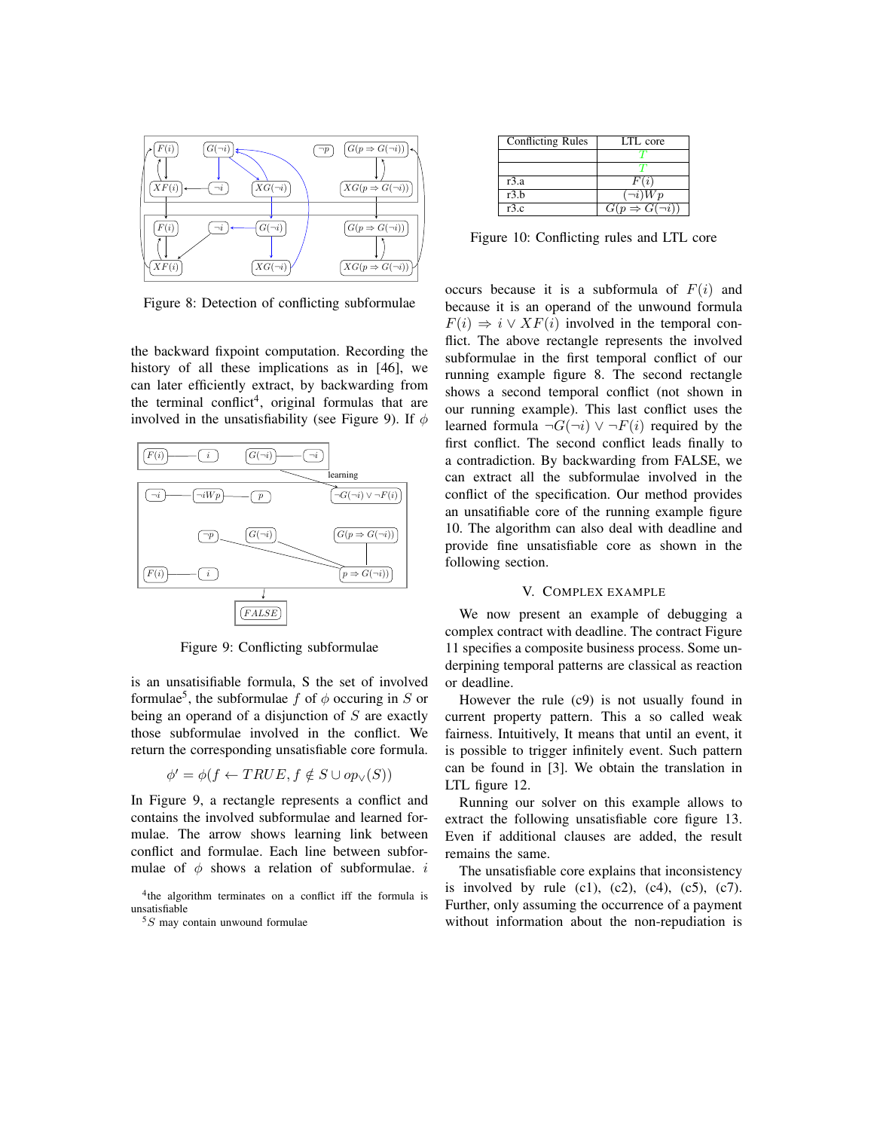

Figure 8: Detection of conflicting subformulae

the backward fixpoint computation. Recording the history of all these implications as in [46], we can later efficiently extract, by backwarding from the terminal conflict<sup>4</sup>, original formulas that are involved in the unsatisfiability (see Figure 9). If  $\phi$ 



Figure 9: Conflicting subformulae

is an unsatisifiable formula, S the set of involved formulae<sup>5</sup>, the subformulae f of  $\phi$  occuring in S or being an operand of a disjunction of  $S$  are exactly those subformulae involved in the conflict. We return the corresponding unsatisfiable core formula.

$$
\phi' = \phi(f \leftarrow TRUE, f \notin S \cup op_{\vee}(S))
$$

In Figure 9, a rectangle represents a conflict and contains the involved subformulae and learned formulae. The arrow shows learning link between conflict and formulae. Each line between subformulae of  $\phi$  shows a relation of subformulae. i

| Conflicting Rules | <b>ITL</b> core              |
|-------------------|------------------------------|
|                   |                              |
|                   |                              |
| r3.a              | F(i)                         |
| r3.b              | $\overline{\neg i}$ ) $Wp$   |
| r3.c              | $G(p \Rightarrow G(\neg i))$ |

Figure 10: Conflicting rules and LTL core

occurs because it is a subformula of  $F(i)$  and because it is an operand of the unwound formula  $F(i) \Rightarrow i \vee XF(i)$  involved in the temporal conflict. The above rectangle represents the involved subformulae in the first temporal conflict of our running example figure 8. The second rectangle shows a second temporal conflict (not shown in our running example). This last conflict uses the learned formula  $\neg G(\neg i) \vee \neg F(i)$  required by the first conflict. The second conflict leads finally to a contradiction. By backwarding from FALSE, we can extract all the subformulae involved in the conflict of the specification. Our method provides an unsatifiable core of the running example figure 10. The algorithm can also deal with deadline and provide fine unsatisfiable core as shown in the following section.

#### V. COMPLEX EXAMPLE

We now present an example of debugging a complex contract with deadline. The contract Figure 11 specifies a composite business process. Some underpining temporal patterns are classical as reaction or deadline.

However the rule (c9) is not usually found in current property pattern. This a so called weak fairness. Intuitively, It means that until an event, it is possible to trigger infinitely event. Such pattern can be found in [3]. We obtain the translation in LTL figure 12.

Running our solver on this example allows to extract the following unsatisfiable core figure 13. Even if additional clauses are added, the result remains the same.

The unsatisfiable core explains that inconsistency is involved by rule  $(c1)$ ,  $(c2)$ ,  $(c4)$ ,  $(c5)$ ,  $(c7)$ . Further, only assuming the occurrence of a payment without information about the non-repudiation is

<sup>&</sup>lt;sup>4</sup>the algorithm terminates on a conflict iff the formula is unsatisfiable

 $5S$  may contain unwound formulae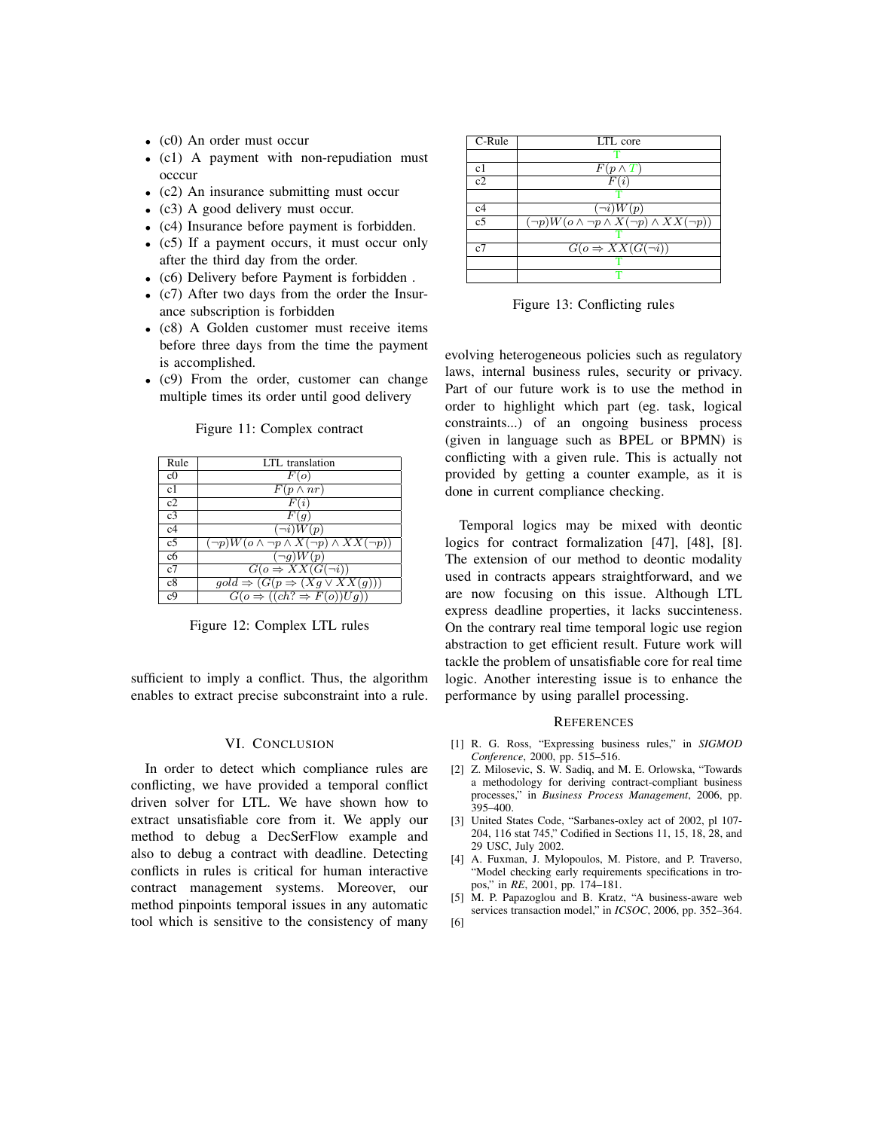- (c0) An order must occur
- (c1) A payment with non-repudiation must occcur
- (c2) An insurance submitting must occur
- (c3) A good delivery must occur.
- (c4) Insurance before payment is forbidden.
- (c5) If a payment occurs, it must occur only after the third day from the order.
- (c6) Delivery before Payment is forbidden .
- (c7) After two days from the order the Insurance subscription is forbidden
- (c8) A Golden customer must receive items before three days from the time the payment is accomplished.
- (c9) From the order, customer can change multiple times its order until good delivery

| Rule           | LTL translation                                              |
|----------------|--------------------------------------------------------------|
| c <sub>0</sub> | F(o)                                                         |
| c1             | $F(p \wedge nr)$                                             |
| c2             | F(i)                                                         |
| c <sub>3</sub> | F(q)                                                         |
| c4             | $\overline{(\neg i)}W(p)$                                    |
| c <sub>5</sub> | $(\neg p)W(o \land \neg p \land X(\neg p) \land XX(\neg p))$ |
| c6             | $(\neg q)W(p)$                                               |
| c7             | $G(o \Rightarrow XX(G(\neg i))$                              |
| c8             | $gold \Rightarrow (G(p \Rightarrow (Xg \vee XX(g))))$        |
| c <sub>9</sub> | $G(o \Rightarrow ((ch? \Rightarrow F(o))Ug))$                |

Figure 11: Complex contract

Figure 12: Complex LTL rules

sufficient to imply a conflict. Thus, the algorithm enables to extract precise subconstraint into a rule.

### VI. CONCLUSION

In order to detect which compliance rules are conflicting, we have provided a temporal conflict driven solver for LTL. We have shown how to extract unsatisfiable core from it. We apply our method to debug a DecSerFlow example and also to debug a contract with deadline. Detecting conflicts in rules is critical for human interactive contract management systems. Moreover, our method pinpoints temporal issues in any automatic tool which is sensitive to the consistency of many

| $\overline{C}$ -Rule | LTL core                                                     |
|----------------------|--------------------------------------------------------------|
|                      |                                                              |
| c1                   | $F(p \wedge T)$                                              |
| c2                   | F(i)                                                         |
|                      |                                                              |
| c4                   | $(\neg i)W(p)$                                               |
| $\overline{c}$       | $(\neg p)W(o \land \neg p \land X(\neg p) \land XX(\neg p))$ |
|                      |                                                              |
| c7                   | $G(o \Rightarrow XX(G(\neg i))$                              |
|                      |                                                              |
|                      |                                                              |

Figure 13: Conflicting rules

evolving heterogeneous policies such as regulatory laws, internal business rules, security or privacy. Part of our future work is to use the method in order to highlight which part (eg. task, logical constraints...) of an ongoing business process (given in language such as BPEL or BPMN) is conflicting with a given rule. This is actually not provided by getting a counter example, as it is done in current compliance checking.

Temporal logics may be mixed with deontic logics for contract formalization [47], [48], [8]. The extension of our method to deontic modality used in contracts appears straightforward, and we are now focusing on this issue. Although LTL express deadline properties, it lacks succinteness. On the contrary real time temporal logic use region abstraction to get efficient result. Future work will tackle the problem of unsatisfiable core for real time logic. Another interesting issue is to enhance the performance by using parallel processing.

#### **REFERENCES**

- [1] R. G. Ross, "Expressing business rules," in *SIGMOD Conference*, 2000, pp. 515–516.
- [2] Z. Milosevic, S. W. Sadiq, and M. E. Orlowska, "Towards a methodology for deriving contract-compliant business processes," in *Business Process Management*, 2006, pp.  $395 - 400$
- [3] United States Code, "Sarbanes-oxley act of 2002, pl 107- 204, 116 stat 745," Codified in Sections 11, 15, 18, 28, and 29 USC, July 2002.
- [4] A. Fuxman, J. Mylopoulos, M. Pistore, and P. Traverso, "Model checking early requirements specifications in tropos," in *RE*, 2001, pp. 174–181.
- [5] M. P. Papazoglou and B. Kratz, "A business-aware web services transaction model," in *ICSOC*, 2006, pp. 352–364.
- [6]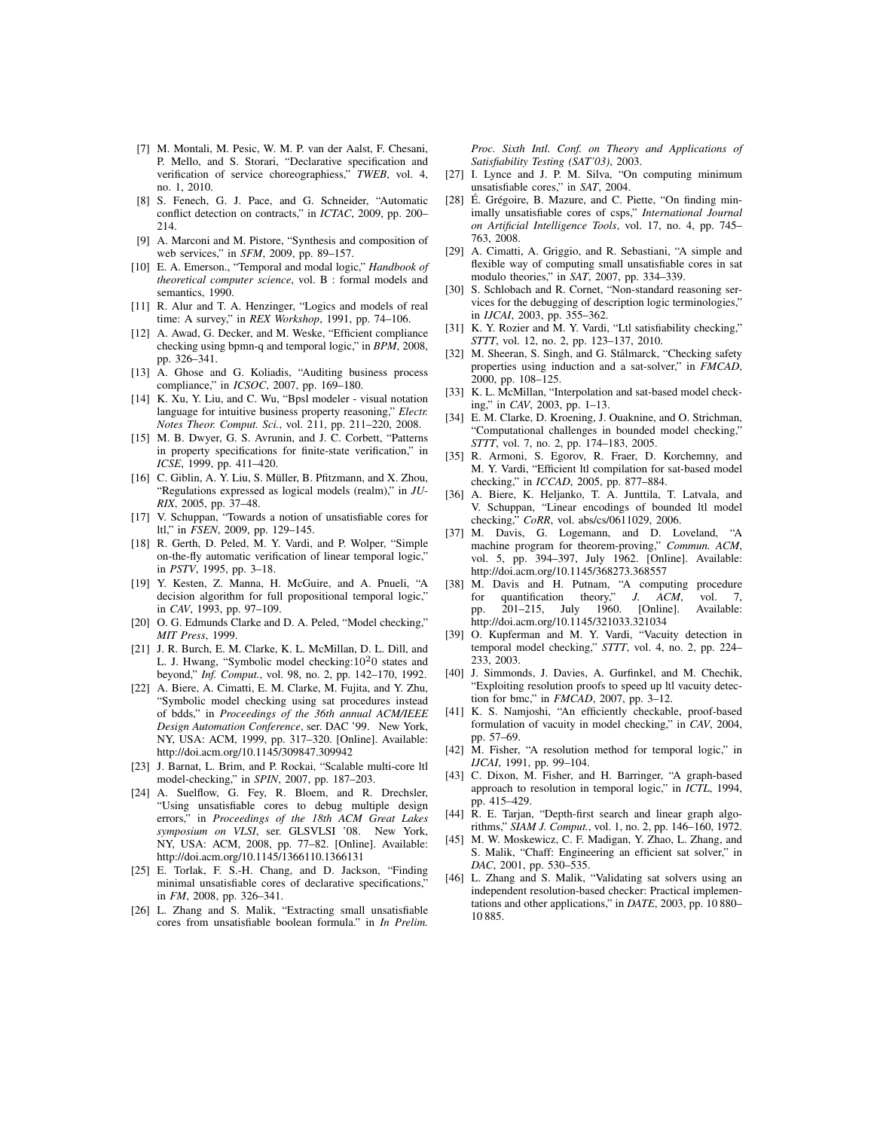- [7] M. Montali, M. Pesic, W. M. P. van der Aalst, F. Chesani, P. Mello, and S. Storari, "Declarative specification and verification of service choreographiess," *TWEB*, vol. 4, no. 1, 2010.
- [8] S. Fenech, G. J. Pace, and G. Schneider, "Automatic conflict detection on contracts," in *ICTAC*, 2009, pp. 200– 214.
- [9] A. Marconi and M. Pistore, "Synthesis and composition of web services," in *SFM*, 2009, pp. 89–157.
- [10] E. A. Emerson., "Temporal and modal logic," *Handbook of theoretical computer science*, vol. B : formal models and semantics, 1990.
- [11] R. Alur and T. A. Henzinger, "Logics and models of real time: A survey," in *REX Workshop*, 1991, pp. 74–106.
- [12] A. Awad, G. Decker, and M. Weske, "Efficient compliance checking using bpmn-q and temporal logic," in *BPM*, 2008, pp. 326–341.
- [13] A. Ghose and G. Koliadis, "Auditing business process compliance," in *ICSOC*, 2007, pp. 169–180.
- [14] K. Xu, Y. Liu, and C. Wu, "Bpsl modeler visual notation language for intuitive business property reasoning," *Electr. Notes Theor. Comput. Sci.*, vol. 211, pp. 211–220, 2008.
- [15] M. B. Dwyer, G. S. Avrunin, and J. C. Corbett, "Patterns in property specifications for finite-state verification," in *ICSE*, 1999, pp. 411–420.
- [16] C. Giblin, A. Y. Liu, S. Müller, B. Pfitzmann, and X. Zhou, "Regulations expressed as logical models (realm)," in *JU-RIX*, 2005, pp. 37–48.
- [17] V. Schuppan, "Towards a notion of unsatisfiable cores for ltl," in *FSEN*, 2009, pp. 129–145.
- [18] R. Gerth, D. Peled, M. Y. Vardi, and P. Wolper, "Simple on-the-fly automatic verification of linear temporal logic," in *PSTV*, 1995, pp. 3–18.
- [19] Y. Kesten, Z. Manna, H. McGuire, and A. Pnueli, "A decision algorithm for full propositional temporal logic," in *CAV*, 1993, pp. 97–109.
- [20] O. G. Edmunds Clarke and D. A. Peled, "Model checking," *MIT Press*, 1999.
- [21] J. R. Burch, E. M. Clarke, K. L. McMillan, D. L. Dill, and L. J. Hwang, "Symbolic model checking: $10<sup>2</sup>0$  states and beyond," *Inf. Comput.*, vol. 98, no. 2, pp. 142–170, 1992.
- [22] A. Biere, A. Cimatti, E. M. Clarke, M. Fujita, and Y. Zhu, "Symbolic model checking using sat procedures instead of bdds," in *Proceedings of the 36th annual ACM/IEEE Design Automation Conference*, ser. DAC '99. New York, NY, USA: ACM, 1999, pp. 317–320. [Online]. Available: http://doi.acm.org/10.1145/309847.309942
- [23] J. Barnat, L. Brim, and P. Rockai, "Scalable multi-core ltl model-checking," in *SPIN*, 2007, pp. 187–203.
- [24] A. Suelflow, G. Fey, R. Bloem, and R. Drechsler, "Using unsatisfiable cores to debug multiple design errors," in *Proceedings of the 18th ACM Great Lakes symposium on VLSI*, ser. GLSVLSI '08. New York, NY, USA: ACM, 2008, pp. 77–82. [Online]. Available: http://doi.acm.org/10.1145/1366110.1366131
- [25] E. Torlak, F. S.-H. Chang, and D. Jackson, "Finding minimal unsatisfiable cores of declarative specifications," in *FM*, 2008, pp. 326–341.
- [26] L. Zhang and S. Malik, "Extracting small unsatisfiable cores from unsatisfiable boolean formula." in *In Prelim.*

*Proc. Sixth Intl. Conf. on Theory and Applications of Satisfiability Testing (SAT'03)*, 2003.

- [27] I. Lynce and J. P. M. Silva, "On computing minimum unsatisfiable cores," in *SAT*, 2004.
- [28] É. Grégoire, B. Mazure, and C. Piette, "On finding minimally unsatisfiable cores of csps," *International Journal on Artificial Intelligence Tools*, vol. 17, no. 4, pp. 745– 763, 2008.
- [29] A. Cimatti, A. Griggio, and R. Sebastiani, "A simple and flexible way of computing small unsatisfiable cores in sat modulo theories," in *SAT*, 2007, pp. 334–339.
- [30] S. Schlobach and R. Cornet, "Non-standard reasoning services for the debugging of description logic terminologies," in *IJCAI*, 2003, pp. 355–362.
- [31] K. Y. Rozier and M. Y. Vardi, "Ltl satisfiability checking," *STTT*, vol. 12, no. 2, pp. 123–137, 2010.
- [32] M. Sheeran, S. Singh, and G. Stålmarck, "Checking safety properties using induction and a sat-solver," in *FMCAD*, 2000, pp. 108–125.
- [33] K. L. McMillan, "Interpolation and sat-based model checking," in *CAV*, 2003, pp. 1–13.
- [34] E. M. Clarke, D. Kroening, J. Ouaknine, and O. Strichman, "Computational challenges in bounded model checking," *STTT*, vol. 7, no. 2, pp. 174–183, 2005.
- [35] R. Armoni, S. Egorov, R. Fraer, D. Korchemny, and M. Y. Vardi, "Efficient ltl compilation for sat-based model checking," in *ICCAD*, 2005, pp. 877–884.
- [36] A. Biere, K. Heljanko, T. A. Junttila, T. Latvala, and V. Schuppan, "Linear encodings of bounded ltl model checking," *CoRR*, vol. abs/cs/0611029, 2006.
- [37] M. Davis, G. Logemann, and D. Loveland, "A machine program for theorem-proving," *Commun. ACM*, vol. 5, pp. 394–397, July 1962. [Online]. Available: http://doi.acm.org/10.1145/368273.368557
- [38] M. Davis and H. Putnam, "A computing procedure for quantification theory."  $J.$  ACM vol 7 for quantification theory," *J. ACM*, vol. 7, pp. 201–215, July 1960. [Online]. Available: pp. 201–215, July 1960. [Online]. Available: http://doi.acm.org/10.1145/321033.321034
- [39] O. Kupferman and M. Y. Vardi, "Vacuity detection in temporal model checking," *STTT*, vol. 4, no. 2, pp. 224– 233, 2003.
- [40] J. Simmonds, J. Davies, A. Gurfinkel, and M. Chechik, "Exploiting resolution proofs to speed up ltl vacuity detection for bmc," in *FMCAD*, 2007, pp. 3–12.
- [41] K. S. Namjoshi, "An efficiently checkable, proof-based formulation of vacuity in model checking," in *CAV*, 2004, pp. 57–69.
- [42] M. Fisher, "A resolution method for temporal logic," in *IJCAI*, 1991, pp. 99–104.
- [43] C. Dixon, M. Fisher, and H. Barringer, "A graph-based approach to resolution in temporal logic," in *ICTL*, 1994, pp. 415–429.
- [44] R. E. Tarjan, "Depth-first search and linear graph algorithms," *SIAM J. Comput.*, vol. 1, no. 2, pp. 146–160, 1972.
- [45] M. W. Moskewicz, C. F. Madigan, Y. Zhao, L. Zhang, and S. Malik, "Chaff: Engineering an efficient sat solver," in *DAC*, 2001, pp. 530–535.
- [46] L. Zhang and S. Malik, "Validating sat solvers using an independent resolution-based checker: Practical implementations and other applications," in *DATE*, 2003, pp. 10 880– 10 885.